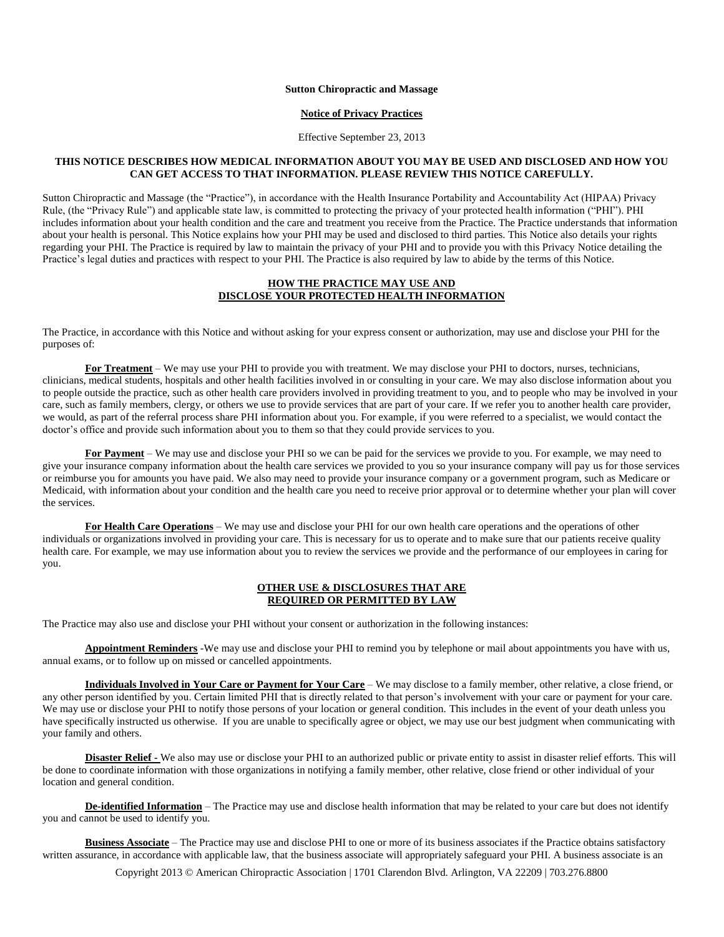#### **Sutton Chiropractic and Massage**

#### **Notice of Privacy Practices**

Effective September 23, 2013

## **THIS NOTICE DESCRIBES HOW MEDICAL INFORMATION ABOUT YOU MAY BE USED AND DISCLOSED AND HOW YOU CAN GET ACCESS TO THAT INFORMATION. PLEASE REVIEW THIS NOTICE CAREFULLY.**

Sutton Chiropractic and Massage (the "Practice"), in accordance with the Health Insurance Portability and Accountability Act (HIPAA) Privacy Rule, (the "Privacy Rule") and applicable state law, is committed to protecting the privacy of your protected health information ("PHI"). PHI includes information about your health condition and the care and treatment you receive from the Practice. The Practice understands that information about your health is personal. This Notice explains how your PHI may be used and disclosed to third parties. This Notice also details your rights regarding your PHI. The Practice is required by law to maintain the privacy of your PHI and to provide you with this Privacy Notice detailing the Practice's legal duties and practices with respect to your PHI. The Practice is also required by law to abide by the terms of this Notice.

### **HOW THE PRACTICE MAY USE AND DISCLOSE YOUR PROTECTED HEALTH INFORMATION**

The Practice, in accordance with this Notice and without asking for your express consent or authorization, may use and disclose your PHI for the purposes of:

**For Treatment** – We may use your PHI to provide you with treatment. We may disclose your PHI to doctors, nurses, technicians, clinicians, medical students, hospitals and other health facilities involved in or consulting in your care. We may also disclose information about you to people outside the practice, such as other health care providers involved in providing treatment to you, and to people who may be involved in your care, such as family members, clergy, or others we use to provide services that are part of your care. If we refer you to another health care provider, we would, as part of the referral process share PHI information about you. For example, if you were referred to a specialist, we would contact the doctor's office and provide such information about you to them so that they could provide services to you.

**For Payment** – We may use and disclose your PHI so we can be paid for the services we provide to you. For example, we may need to give your insurance company information about the health care services we provided to you so your insurance company will pay us for those services or reimburse you for amounts you have paid. We also may need to provide your insurance company or a government program, such as Medicare or Medicaid, with information about your condition and the health care you need to receive prior approval or to determine whether your plan will cover the services.

**For Health Care Operations** – We may use and disclose your PHI for our own health care operations and the operations of other individuals or organizations involved in providing your care. This is necessary for us to operate and to make sure that our patients receive quality health care. For example, we may use information about you to review the services we provide and the performance of our employees in caring for you.

## **OTHER USE & DISCLOSURES THAT ARE REQUIRED OR PERMITTED BY LAW**

The Practice may also use and disclose your PHI without your consent or authorization in the following instances:

**Appointment Reminders** -We may use and disclose your PHI to remind you by telephone or mail about appointments you have with us, annual exams, or to follow up on missed or cancelled appointments.

**Individuals Involved in Your Care or Payment for Your Care** – We may disclose to a family member, other relative, a close friend, or any other person identified by you. Certain limited PHI that is directly related to that person's involvement with your care or payment for your care. We may use or disclose your PHI to notify those persons of your location or general condition. This includes in the event of your death unless you have specifically instructed us otherwise. If you are unable to specifically agree or object, we may use our best judgment when communicating with your family and others.

**Disaster Relief -** We also may use or disclose your PHI to an authorized public or private entity to assist in disaster relief efforts. This will be done to coordinate information with those organizations in notifying a family member, other relative, close friend or other individual of your location and general condition.

**De-identified Information** – The Practice may use and disclose health information that may be related to your care but does not identify you and cannot be used to identify you.

**Business Associate** – The Practice may use and disclose PHI to one or more of its business associates if the Practice obtains satisfactory written assurance, in accordance with applicable law, that the business associate will appropriately safeguard your PHI. A business associate is an

Copyright 2013 © American Chiropractic Association | 1701 Clarendon Blvd. Arlington, VA 22209 | 703.276.8800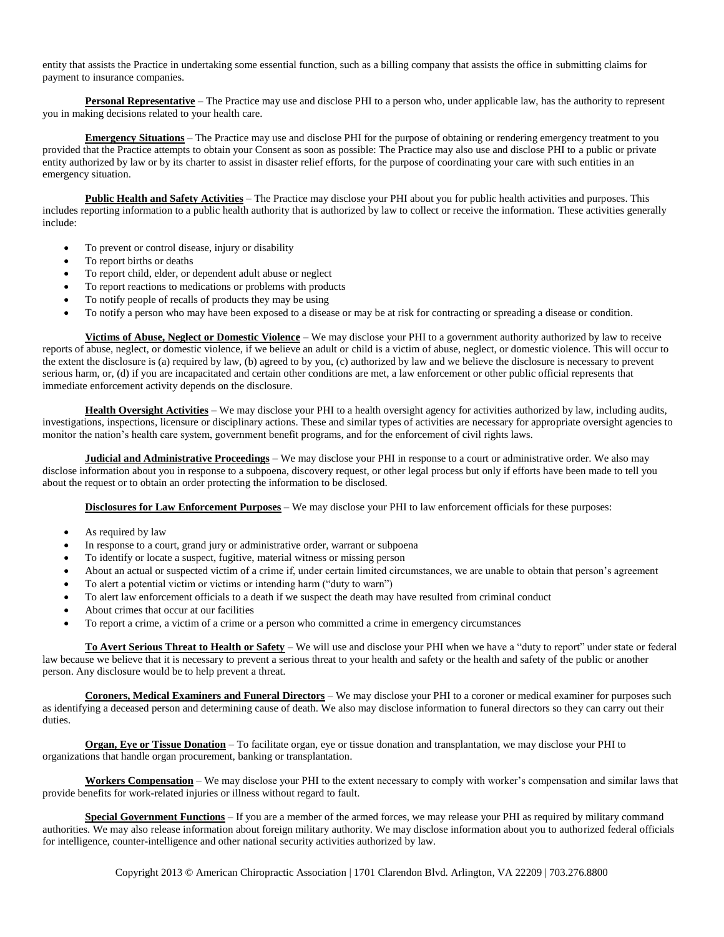entity that assists the Practice in undertaking some essential function, such as a billing company that assists the office in submitting claims for payment to insurance companies.

**Personal Representative** – The Practice may use and disclose PHI to a person who, under applicable law, has the authority to represent you in making decisions related to your health care.

**Emergency Situations** – The Practice may use and disclose PHI for the purpose of obtaining or rendering emergency treatment to you provided that the Practice attempts to obtain your Consent as soon as possible: The Practice may also use and disclose PHI to a public or private entity authorized by law or by its charter to assist in disaster relief efforts, for the purpose of coordinating your care with such entities in an emergency situation.

**Public Health and Safety Activities** – The Practice may disclose your PHI about you for public health activities and purposes. This includes reporting information to a public health authority that is authorized by law to collect or receive the information. These activities generally include:

- To prevent or control disease, injury or disability
- To report births or deaths
- To report child, elder, or dependent adult abuse or neglect
- To report reactions to medications or problems with products
- To notify people of recalls of products they may be using
- To notify a person who may have been exposed to a disease or may be at risk for contracting or spreading a disease or condition.

**Victims of Abuse, Neglect or Domestic Violence** – We may disclose your PHI to a government authority authorized by law to receive reports of abuse, neglect, or domestic violence, if we believe an adult or child is a victim of abuse, neglect, or domestic violence. This will occur to the extent the disclosure is (a) required by law, (b) agreed to by you, (c) authorized by law and we believe the disclosure is necessary to prevent serious harm, or, (d) if you are incapacitated and certain other conditions are met, a law enforcement or other public official represents that immediate enforcement activity depends on the disclosure.

**Health Oversight Activities** – We may disclose your PHI to a health oversight agency for activities authorized by law, including audits, investigations, inspections, licensure or disciplinary actions. These and similar types of activities are necessary for appropriate oversight agencies to monitor the nation's health care system, government benefit programs, and for the enforcement of civil rights laws.

**Judicial and Administrative Proceedings** – We may disclose your PHI in response to a court or administrative order. We also may disclose information about you in response to a subpoena, discovery request, or other legal process but only if efforts have been made to tell you about the request or to obtain an order protecting the information to be disclosed.

**Disclosures for Law Enforcement Purposes** – We may disclose your PHI to law enforcement officials for these purposes:

- As required by law
- In response to a court, grand jury or administrative order, warrant or subpoena
- To identify or locate a suspect, fugitive, material witness or missing person
- About an actual or suspected victim of a crime if, under certain limited circumstances, we are unable to obtain that person's agreement
- To alert a potential victim or victims or intending harm ("duty to warn")
- To alert law enforcement officials to a death if we suspect the death may have resulted from criminal conduct
- About crimes that occur at our facilities
- To report a crime, a victim of a crime or a person who committed a crime in emergency circumstances

**To Avert Serious Threat to Health or Safety** – We will use and disclose your PHI when we have a "duty to report" under state or federal law because we believe that it is necessary to prevent a serious threat to your health and safety or the health and safety of the public or another person. Any disclosure would be to help prevent a threat.

**Coroners, Medical Examiners and Funeral Directors** – We may disclose your PHI to a coroner or medical examiner for purposes such as identifying a deceased person and determining cause of death. We also may disclose information to funeral directors so they can carry out their duties.

**Organ, Eye or Tissue Donation** – To facilitate organ, eye or tissue donation and transplantation, we may disclose your PHI to organizations that handle organ procurement, banking or transplantation.

**Workers Compensation** – We may disclose your PHI to the extent necessary to comply with worker's compensation and similar laws that provide benefits for work-related injuries or illness without regard to fault.

**Special Government Functions** – If you are a member of the armed forces, we may release your PHI as required by military command authorities. We may also release information about foreign military authority. We may disclose information about you to authorized federal officials for intelligence, counter-intelligence and other national security activities authorized by law.

Copyright 2013 © American Chiropractic Association | 1701 Clarendon Blvd. Arlington, VA 22209 | 703.276.8800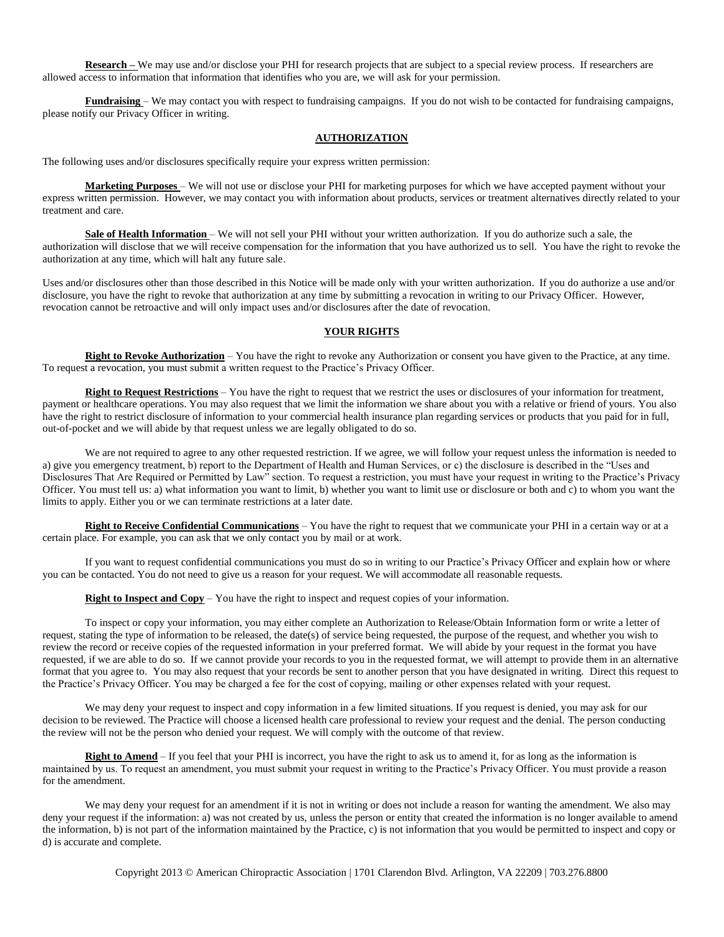**Research –** We may use and/or disclose your PHI for research projects that are subject to a special review process. If researchers are allowed access to information that information that identifies who you are, we will ask for your permission.

**Fundraising** – We may contact you with respect to fundraising campaigns. If you do not wish to be contacted for fundraising campaigns, please notify our Privacy Officer in writing.

### **AUTHORIZATION**

The following uses and/or disclosures specifically require your express written permission:

**Marketing Purposes** – We will not use or disclose your PHI for marketing purposes for which we have accepted payment without your express written permission. However, we may contact you with information about products, services or treatment alternatives directly related to your treatment and care.

**Sale of Health Information** – We will not sell your PHI without your written authorization. If you do authorize such a sale, the authorization will disclose that we will receive compensation for the information that you have authorized us to sell. You have the right to revoke the authorization at any time, which will halt any future sale.

Uses and/or disclosures other than those described in this Notice will be made only with your written authorization. If you do authorize a use and/or disclosure, you have the right to revoke that authorization at any time by submitting a revocation in writing to our Privacy Officer. However, revocation cannot be retroactive and will only impact uses and/or disclosures after the date of revocation.

# **YOUR RIGHTS**

**Right to Revoke Authorization** – You have the right to revoke any Authorization or consent you have given to the Practice, at any time. To request a revocation, you must submit a written request to the Practice's Privacy Officer.

**Right to Request Restrictions** – You have the right to request that we restrict the uses or disclosures of your information for treatment, payment or healthcare operations. You may also request that we limit the information we share about you with a relative or friend of yours. You also have the right to restrict disclosure of information to your commercial health insurance plan regarding services or products that you paid for in full, out-of-pocket and we will abide by that request unless we are legally obligated to do so.

We are not required to agree to any other requested restriction. If we agree, we will follow your request unless the information is needed to a) give you emergency treatment, b) report to the Department of Health and Human Services, or c) the disclosure is described in the "Uses and Disclosures That Are Required or Permitted by Law" section. To request a restriction, you must have your request in writing to the Practice's Privacy Officer. You must tell us: a) what information you want to limit, b) whether you want to limit use or disclosure or both and c) to whom you want the limits to apply. Either you or we can terminate restrictions at a later date.

**Right to Receive Confidential Communications** – You have the right to request that we communicate your PHI in a certain way or at a certain place. For example, you can ask that we only contact you by mail or at work.

If you want to request confidential communications you must do so in writing to our Practice's Privacy Officer and explain how or where you can be contacted. You do not need to give us a reason for your request. We will accommodate all reasonable requests.

**Right to Inspect and Copy** – You have the right to inspect and request copies of your information.

To inspect or copy your information, you may either complete an Authorization to Release/Obtain Information form or write a letter of request, stating the type of information to be released, the date(s) of service being requested, the purpose of the request, and whether you wish to review the record or receive copies of the requested information in your preferred format. We will abide by your request in the format you have requested, if we are able to do so. If we cannot provide your records to you in the requested format, we will attempt to provide them in an alternative format that you agree to. You may also request that your records be sent to another person that you have designated in writing. Direct this request to the Practice's Privacy Officer. You may be charged a fee for the cost of copying, mailing or other expenses related with your request.

We may deny your request to inspect and copy information in a few limited situations. If you request is denied, you may ask for our decision to be reviewed. The Practice will choose a licensed health care professional to review your request and the denial. The person conducting the review will not be the person who denied your request. We will comply with the outcome of that review.

**Right to Amend** – If you feel that your PHI is incorrect, you have the right to ask us to amend it, for as long as the information is maintained by us. To request an amendment, you must submit your request in writing to the Practice's Privacy Officer. You must provide a reason for the amendment.

We may deny your request for an amendment if it is not in writing or does not include a reason for wanting the amendment. We also may deny your request if the information: a) was not created by us, unless the person or entity that created the information is no longer available to amend the information, b) is not part of the information maintained by the Practice, c) is not information that you would be permitted to inspect and copy or d) is accurate and complete.